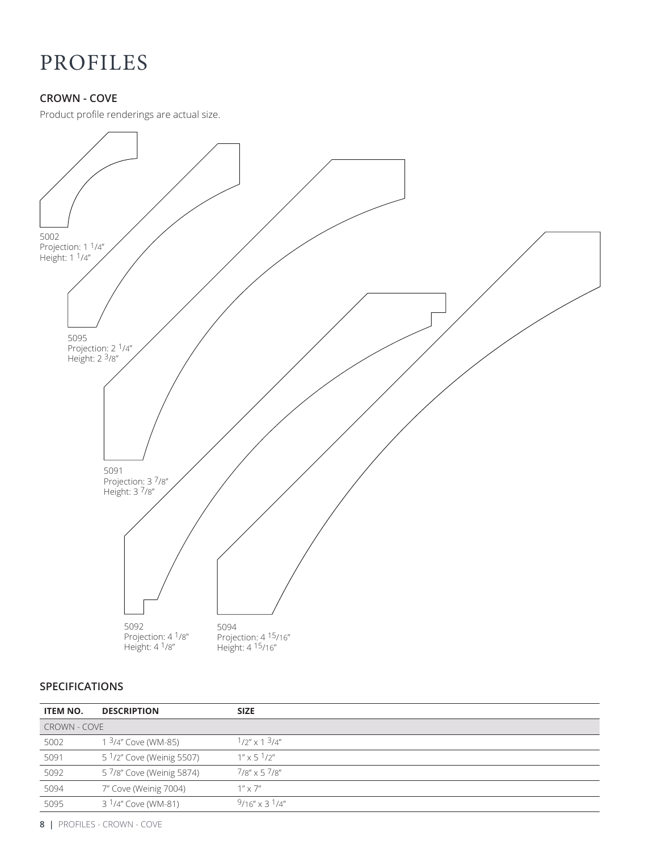### **CROWN - COVE**

Product profile renderings are actual size.



#### **SPECIFICATIONS**

| <b>ITEM NO.</b>     | <b>DESCRIPTION</b>                    | <b>SIZE</b>                |
|---------------------|---------------------------------------|----------------------------|
| <b>CROWN - COVE</b> |                                       |                            |
| 5002                | 1 3/4" Cove (WM-85)                   | $1/2'' \times 13/4''$      |
| 5091                | 5 <sup>1</sup> /2" Cove (Weinig 5507) | $1'' \times 5 \frac{1}{2}$ |
| 5092                | 5 7/8" Cove (Weinig 5874)             | $7/8''$ x 5 $7/8''$        |
| 5094                | 7" Cove (Weinig 7004)                 | $1'' \times 7''$           |
| 5095                | 3 <sup>1</sup> /4" Cove (WM-81)       | $9/16'' \times 3^1/4''$    |

**8 |** PROFILES - CROWN - COVE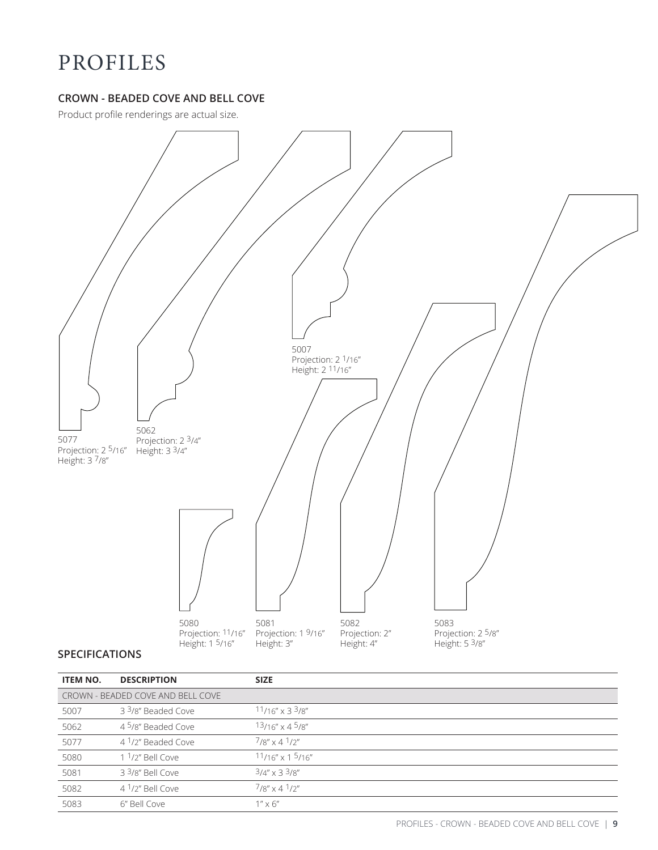### **CROWN - BEADED COVE AND BELL COVE**

Product profile renderings are actual size.



#### **SPECIFICATIONS**

| <b>ITEM NO.</b>                   | <b>DESCRIPTION</b>             | <b>SIZE</b>                    |
|-----------------------------------|--------------------------------|--------------------------------|
| CROWN - BEADED COVE AND BELL COVE |                                |                                |
| 5007                              | 3 <sup>3</sup> /8" Beaded Cove | $11/16'' \times 33/8''$        |
| 5062                              | 4 <sup>5</sup> /8" Beaded Cove | $13/16'' \times 45/8''$        |
| 5077                              | 4 <sup>1</sup> /2" Beaded Cove | $7/8'' \times 4^7/2''$         |
| 5080                              | $11/2''$ Bell Cove             | $11/16''$ x 1 $5/16''$         |
| 5081                              | $33/8$ " Bell Cove             | $3/4'' \times 3^3/8''$         |
| 5082                              | $41/2$ " Bell Cove             | $7/8'' \times 4 \frac{1}{2}''$ |
| 5083                              | 6" Bell Cove                   | $1'' \times 6''$               |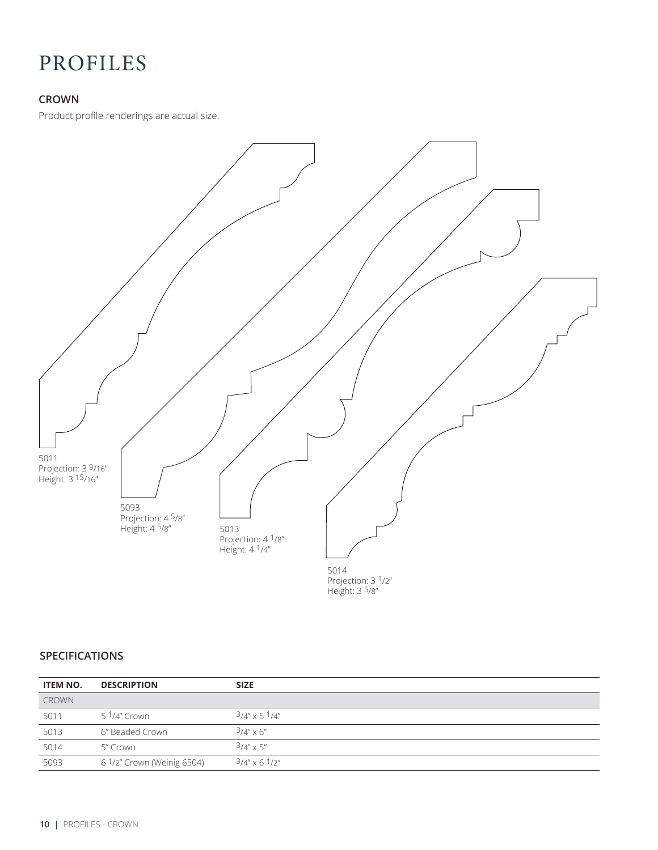#### **CROWN**

Product profile renderings are actual size.



Height: 3 5/8"

#### **SPECIFICATIONS**

| <b>ITEM NO.</b> | <b>DESCRIPTION</b>         | <b>SIZE</b>           |
|-----------------|----------------------------|-----------------------|
| <b>CROWN</b>    |                            |                       |
| 5011            | 5 <sup>1</sup> /4" Crown   | $3/4'' \times 51/4''$ |
| 5013            | 6" Beaded Crown            | $3/4'' \times 6''$    |
| 5014            | 5″ Crown                   | $3/4'' \times 5''$    |
| 5093            | 6 1/2" Crown (Weinig 6504) | $3/4''$ x 6 $1/2''$   |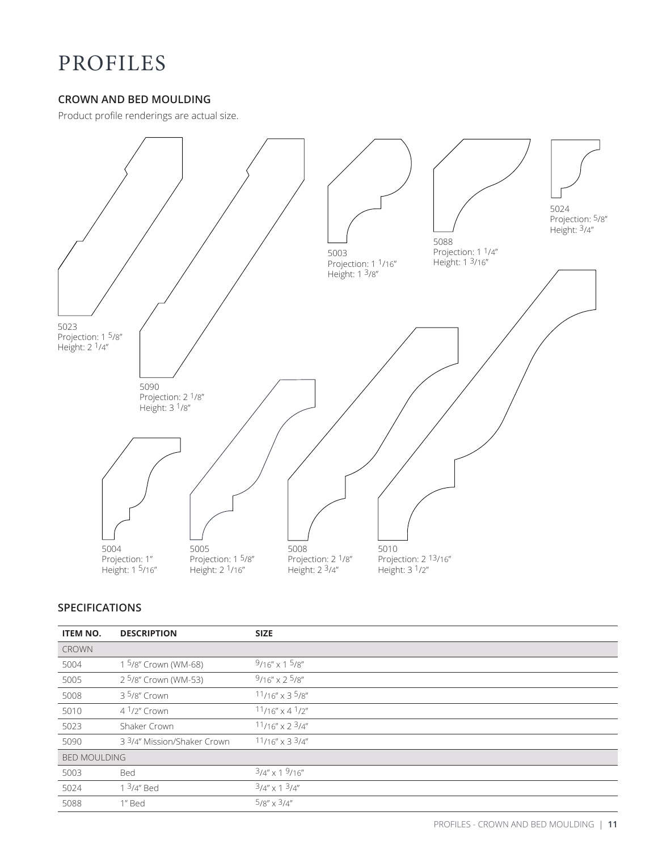#### **CROWN AND BED MOULDING**

Product profile renderings are actual size.



#### **SPECIFICATIONS**

| <b>ITEM NO.</b>     | <b>DESCRIPTION</b>               | <b>SIZE</b>             |  |
|---------------------|----------------------------------|-------------------------|--|
| <b>CROWN</b>        |                                  |                         |  |
| 5004                | 1 5/8" Crown (WM-68)             | $9/16'' \times 15/8''$  |  |
| 5005                | 2 <sup>5</sup> /8" Crown (WM-53) | $9/16'' \times 25/8''$  |  |
| 5008                | 3 5/8" Crown                     | $11/16'' \times 35/8''$ |  |
| 5010                | $41/2''$ Crown                   | $11/16'' \times 41/2''$ |  |
| 5023                | Shaker Crown                     | $11/16''$ x 2 $3/4''$   |  |
| 5090                | 3 3/4" Mission/Shaker Crown      | $11/16''$ x 3 $3/4''$   |  |
| <b>BED MOULDING</b> |                                  |                         |  |
| 5003                | Bed                              | $3/4'' \times 19/16''$  |  |
| 5024                | 1 $3/4$ " Bed                    | $3/4'' \times 1^3/4''$  |  |
| 5088                | 1" Bed                           | $5/8'' \times 3/4''$    |  |